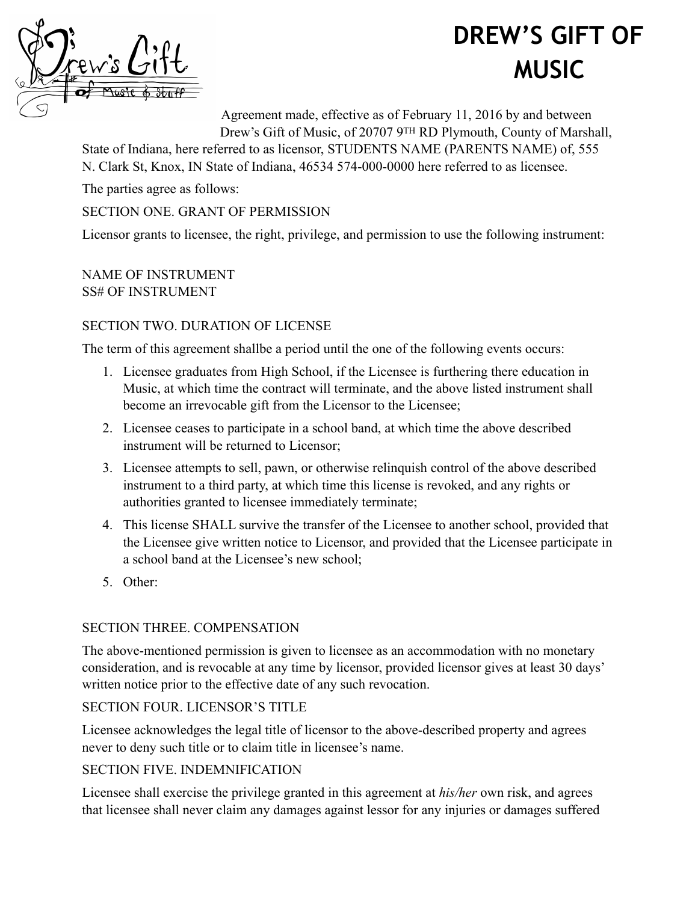# **DREW'S GIFT OF MUSIC**



Agreement made, effective as of February 11, 2016 by and between Drew's Gift of Music, of 20707 9TH RD Plymouth, County of Marshall,

State of Indiana, here referred to as licensor, STUDENTS NAME (PARENTS NAME) of, 555 N. Clark St, Knox, IN State of Indiana, 46534 574-000-0000 here referred to as licensee.

The parties agree as follows:

#### SECTION ONE. GRANT OF PERMISSION

Licensor grants to licensee, the right, privilege, and permission to use the following instrument:

NAME OF INSTRUMENT SS# OF INSTRUMENT

#### SECTION TWO. DURATION OF LICENSE

The term of this agreement shallbe a period until the one of the following events occurs:

- 1. Licensee graduates from High School, if the Licensee is furthering there education in Music, at which time the contract will terminate, and the above listed instrument shall become an irrevocable gift from the Licensor to the Licensee;
- 2. Licensee ceases to participate in a school band, at which time the above described instrument will be returned to Licensor;
- 3. Licensee attempts to sell, pawn, or otherwise relinquish control of the above described instrument to a third party, at which time this license is revoked, and any rights or authorities granted to licensee immediately terminate;
- 4. This license SHALL survive the transfer of the Licensee to another school, provided that the Licensee give written notice to Licensor, and provided that the Licensee participate in a school band at the Licensee's new school;
- 5. Other:

## SECTION THREE. COMPENSATION

The above-mentioned permission is given to licensee as an accommodation with no monetary consideration, and is revocable at any time by licensor, provided licensor gives at least 30 days' written notice prior to the effective date of any such revocation.

## SECTION FOUR. LICENSOR'S TITLE

Licensee acknowledges the legal title of licensor to the above-described property and agrees never to deny such title or to claim title in licensee's name.

## SECTION FIVE. INDEMNIFICATION

Licensee shall exercise the privilege granted in this agreement at *his/her* own risk, and agrees that licensee shall never claim any damages against lessor for any injuries or damages suffered